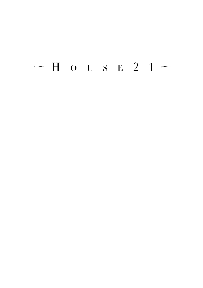# $-$  H o u s E 2 1  $-$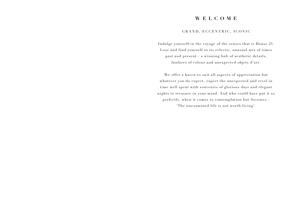### **WELCOME**

### GRAND, ECCENTRIC, ICONIC

Indulge yourself in the voyage of the senses that is House 21. Lose and find yourself in its eclectic, unusual mix of times past and present - a winning hub of aesthetic details, fanfares of colour and unexpected objets d'art.

We offer a haven to suit all aspects of appreciation but whatever you do expect, expect the unexpected and revel in time well spent with souvenirs of glorious days and elegant nights to treasure in your mind. A nd who could have put it so perfectly, when it comes to contemplation but Socrates -

'The unexamined life is not worth living'.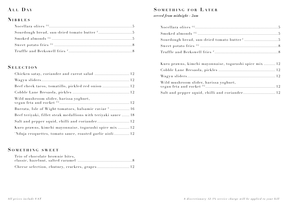### **A l l D <sup>a</sup> <sup>y</sup>**

### **N i b b l e s**

### **S e l e c t i o n**

| Chicken satay, coriander and carrot salad  12                    |
|------------------------------------------------------------------|
|                                                                  |
|                                                                  |
|                                                                  |
| Wild mushroom slider, harissa yoghurt,                           |
| Burrata, Isle of Wight tomatoes, balsamic caviar <sup>V</sup> 16 |
| Beef teriyaki, fillet steak medallions with teriyaki sauce  18   |
| Salt and pepper squid, chilli and coriander 12                   |
| Kuro prawns, kimchi mayonnaise, togarashi spice mix  12          |
| 'Nduja croquettes, tomato sauce, roasted garlic aioli 12         |

### **S o m e t h i n g s w e e t**

| Trio of chocolate brownie bites, |  |
|----------------------------------|--|
|                                  |  |
|                                  |  |

### **S o m e t h i <sup>n</sup> <sup>g</sup> f o r L <sup>a</sup> t e r**

### *served from midnight - 2am*

| Kuro prawns, kimchi mayonnaise, togarashi spice mix  12 |  |
|---------------------------------------------------------|--|
|                                                         |  |
|                                                         |  |
| Wild mushroom slider, harissa yoghurt,                  |  |
| Salt and pepper squid, chilli and coriander 12          |  |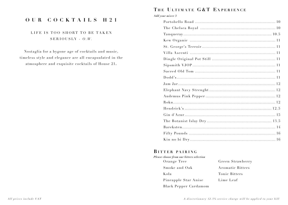### **OUR COCKTAILS H21**

### LIFE IS TOO SHORT TO BE TAKEN SERIOUSLY - *O.W.*

Nostaglia for a bygone age of cocktails and music, timeless style and elegance are all encapsulated in the atmosphere and exquisite cocktails of House 21.

### **T h e U l t i m <sup>a</sup> t e G & T E x p e r i e <sup>n</sup> c e**

### *Add your mixer 3*

### **B i t t e r p a i r i n g**

| Please choose from our bitters selection |                  |
|------------------------------------------|------------------|
| Orange Tree                              | Green Strawberry |
| Smoke and Oak                            | Aromatic Bitters |
| Kola                                     | Tonic Bitters    |
| Pineapple Star Anise                     | Lime Leaf        |
| Black Pepper Cardamom                    |                  |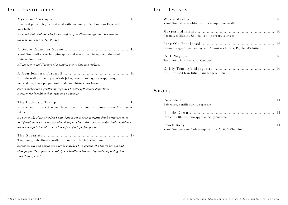### **O <sup>u</sup> <sup>r</sup> Fa v o <sup>u</sup> r i t e s**

|                  | Clarified pineapple juice infused with coconut purée, Pampero Especial,                 |
|------------------|-----------------------------------------------------------------------------------------|
| kola bitters     |                                                                                         |
|                  | A smooth Piña Colada which was perfect after dinner delight on the veranda,             |
|                  | far from the pace of The Palace.                                                        |
|                  |                                                                                         |
| watermelon tonic | Ketel One Vodka, sherbet, pineapple and star anise bitter, cucumber and                 |
|                  | All the scents and flavours of a playful picnic date in Brighton.                       |
|                  |                                                                                         |
|                  | Johnnie Walker Black, grapefruit juice, rose Champagne syrup, orange                    |
|                  | marmalade, black pepper and cardamom bitters, ms foamer                                 |
|                  | Just to make sure a gentleman regained his strength before departure.                   |
|                  | A better for breakfast than eggs and a sausage.                                         |
|                  |                                                                                         |
|                  | Villa Ascenti Rosa, crème de pêche, lime juice, botanical honey water, Ms. foamer       |
| bitter           |                                                                                         |
|                  | A twist on the classic Perfect Lady. This sweet & sour aromatic drink combines spicy    |
|                  | and floral notes as a crystal which changes colour with time. A perfect Lady would have |
|                  | become a sophisticated tramp after a few of this perfect potion.                        |

The Socialite................................................................... 17

Tanqueray, elderflower cordial, Chambord, Moët & Chandon

*Elegance, wit and gossip can only be matched by a person who knows her gin and champagne. That person would sip not imbibe, while teasing and conquering that something special.*

### **O <sup>u</sup> <sup>r</sup> Tw i s t s**

| Ketel One, Mozart white, vanilla syrup, lime cordial                |
|---------------------------------------------------------------------|
| Casamigos Blanco, Kahlua, vanilla syrup, espresso                   |
| Glenmorangie 10yo, pear syrup, Angostura bitters, Peychaud's bitter |
| Tanqueray, Belsazar rosé, Campari                                   |
| Chilli infused Don Julio Blanco, agave, lime                        |

### **S h o t s**

| Belvedere, vanilla syrup, espresso                      |  |
|---------------------------------------------------------|--|
|                                                         |  |
| Don Julio Blanco, pineapple juice, grenadine            |  |
|                                                         |  |
| Ketel One, passion fruit syrup, vanilla, Moët & Chandon |  |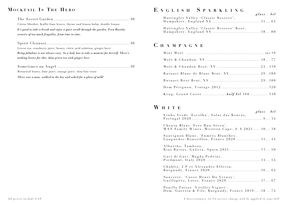### **M o c k t <sup>a</sup> i l I <sup>s</sup> T h e H e r o**

 The Secret Garden .......................................................... 10 Citrus Sherbet, Kaffir lime leaves, thyme and lemon balm, double lemon  *It's good to take a break and enjoy a quiet stroll through the garden. Even Royalty wearies of too much frugality, from time to time.*

 Spirit Cleanser ................................................................ 10 Green tea, cranberry juice, honey, citric acid solution, ginger beer *Being fabulous is not always easy. So a lady has to take a moment for herself. There's nothing better for this, than green tea with ginger beer.* 

 Sometimes an Angel ........................................................ 10 Botanical honey, lime juice, orange juice, slim line tonic

*There was a man, walked in the bar and asked for a glass of milk!*

## **<sup>E</sup> <sup>n</sup> g l i s h <sup>S</sup> <sup>p</sup> <sup>a</sup> r k l i <sup>n</sup> <sup>g</sup>** *glass btl*

|                                           | giuss vii |  |
|-------------------------------------------|-----------|--|
| Hattingley Valley 'Classic Reserve',      |           |  |
|                                           |           |  |
| Hattingley Valley 'Classic Reserve' Rosé, |           |  |

Hampshire, England NV ................................ 1 8 ... 8 0

### **C <sup>h</sup> <sup>a</sup> m p <sup>a</sup> <sup>g</sup> <sup>n</sup> <sup>e</sup>**

| Moët & Chandon Rosé, NV  22110         |
|----------------------------------------|
| Ruinart Blanc de Blanc Brut, NV  29180 |
|                                        |
| Dom Pérignon, Vintage 2012320          |
|                                        |

### **W h i t e**

|                                                                                        | $glass \t btl$ |  |
|----------------------------------------------------------------------------------------|----------------|--|
| Vinho Verde 'Escolha', Solar das Boucas,                                               |                |  |
| Chenin Blanc 'Free Run Steen',<br>MAN Family Wines, Western Cape, S.A 2021  10 38      |                |  |
| Sauvignon Blanc, 'Fumées Blanches',<br>Languedoc-Roussillon, France 2020  11 44        |                |  |
| Albariño, Tambora,<br>Rias Baixas, Galicia, Spain 2021  13 50                          |                |  |
| Gavi di Gavi, Magda Pedrini,                                                           |                |  |
| Chablis, J.P et Alexandre Ellevin,                                                     |                |  |
| Sancerre, 'Cuvee Henri Du Vernoy',<br>Guillopées, Loire, France 2020  17 67            |                |  |
| Pouilly Fuisse 'Vieilles Vignes',<br>Dom. Guerrin & Fils, Burgundy, France 2019 18  72 |                |  |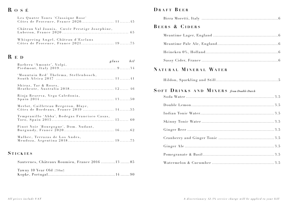## **R o s <sup>É</sup>**

| Les Quatre Tours 'Classique Rose'<br>Côtes de Provence, France 2020 11 45 |  |
|---------------------------------------------------------------------------|--|
| Château Val Joanis, Cuvée Prestige Josephine,                             |  |
| Whispering Angel, Château d'Esclans                                       |  |

| R E D                |                                                                              | $glass \t btl$ |  |
|----------------------|------------------------------------------------------------------------------|----------------|--|
|                      | Barbera 'Amonte', Volpi,                                                     |                |  |
|                      | 'Mountain Red' Thelema, Stellenbosch,                                        |                |  |
| Shiraz, Tar & Roses, | Heathcote, Australia 2018 12 46                                              |                |  |
|                      | Rioja Reserva, Vega Caledonia,                                               |                |  |
|                      | Merlot, Cailleteau Bergeron, Blaye,<br>Côtes de Bordeaux, France 2019  14 55 |                |  |
|                      | Tempranillo 'Abba', Bodegas Francisco Casas,                                 |                |  |
|                      | Pinot Noir 'Bourgogne', Dom. Nudant,                                         |                |  |
|                      | Malbec, Terrazas de Los Andes,                                               |                |  |
|                      |                                                                              |                |  |

### **S t i c k i e s**

| Sauternes, Châteaux Roumieu, France 2016 13 85 |  |
|------------------------------------------------|--|
| Tawny 10 Year Old $(750ml)$                    |  |
|                                                |  |

### **D <sup>r</sup> <sup>a</sup> f t B e e r**

| BEERS & CIDERS                           |
|------------------------------------------|
|                                          |
|                                          |
|                                          |
|                                          |
| NATURAL MINERAL WATER                    |
|                                          |
| SOFT DRINKS AND MIXERS from Double Dutch |
|                                          |
|                                          |
|                                          |
|                                          |
|                                          |
|                                          |
|                                          |
|                                          |
|                                          |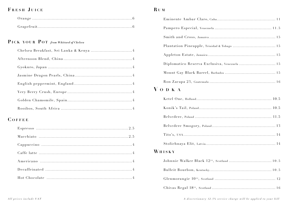### $F$  **R E SH** JUICE

### **P i c k y o u r P o t** *from Whittard of Chelsea*

### **C o f f e e**

### **R <sup>u</sup> <sup>m</sup>**

| Diplomatico Reserva Exclusiva, Venezuela  15 |
|----------------------------------------------|
|                                              |
|                                              |
| $V$ O D K A                                  |
|                                              |

| $\cdots$ |
|----------|
|          |
|          |
|          |
|          |
|          |

### **Wh i s k y**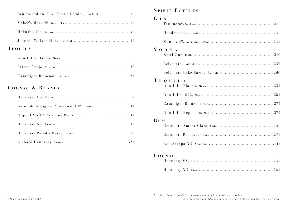| TEQUILA |
|---------|
|         |

Patron Anejo, Mexico ......................................................... 19

### **C o g na c & B r and y**

| Baron de Sigognac Armagnac 10yo, France 14 |  |
|--------------------------------------------|--|
|                                            |  |
|                                            |  |
|                                            |  |
|                                            |  |

### **SPIRIT BOTTLES**

| G I N      |         |
|------------|---------|
|            |         |
|            |         |
|            |         |
|            | VODKA   |
|            |         |
|            |         |
|            |         |
|            | TEQUILA |
|            |         |
|            |         |
|            |         |
|            |         |
| <b>RUM</b> |         |
|            |         |
|            |         |
|            |         |
|            | COGNAC  |
|            |         |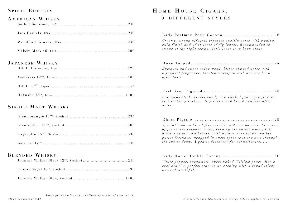### SPIRIT BOTTLES

### **A m e r i c an Wh i s k y**

### **J a p an e s e Wh i s k y**

### $S$  **i n g l e M a LT WHISKY**

### **B l e nd e d Wh i s k y**

## **H o m e H o u s e C i g a r s , 5 d i f f e r e n t s t y l e s**

| Lady Portman Petit Corona  16<br>Creamy, strong affogato espresso vanilla notes with medium<br>mild finish and after taste of fig leaves. Recommended to<br>smoke at the right tempo, don't leave it to burn alone.                                                                                           |  |
|---------------------------------------------------------------------------------------------------------------------------------------------------------------------------------------------------------------------------------------------------------------------------------------------------------------|--|
| Kumquat and sweet cedar wood, bitter almond notes with<br>a yoghurt fragrance, toasted marzipan with a cocoa bean<br>after taste                                                                                                                                                                              |  |
| Cinnamon stick, ginger candy and smoked pine cone flavour,<br>rich leathery texture. Dry raisin and bread pudding after<br>notes.                                                                                                                                                                             |  |
| Special tobacco blend fermented in old rum barrels. Flavours<br>of fermented coconut water, keeping the palate moist, full<br>aromas of old rum barrels with quince marmalade and ber<br>gamot freshness wrapped in sweet spice that one gets through<br>the subtle draw. A gentle discovery for connoisseurs |  |
| White pepper, cardamom, sweet baked William pears. Has a<br>cool draw! A perfect start to an evening with a round sticky<br>aniseed mouthful.                                                                                                                                                                 |  |